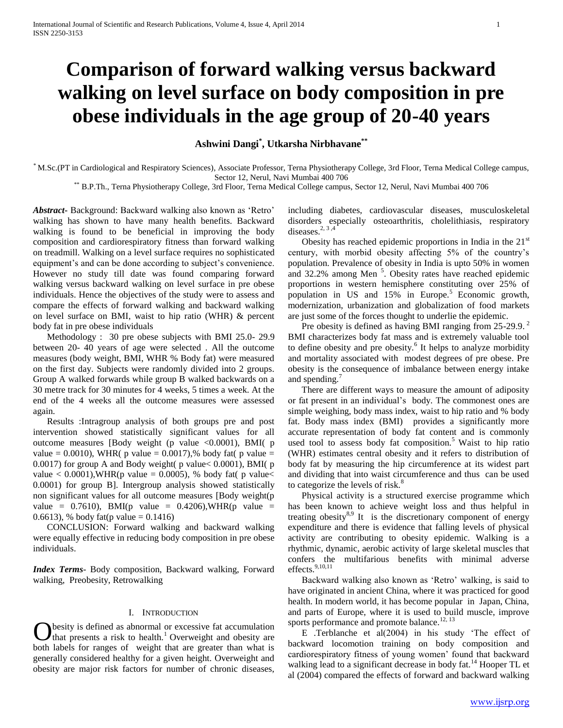# **Comparison of forward walking versus backward walking on level surface on body composition in pre obese individuals in the age group of 20-40 years**

**Ashwini Dangi\* , Utkarsha Nirbhavane\*\***

\* M.Sc.(PT in Cardiological and Respiratory Sciences), Associate Professor, Terna Physiotherapy College, 3rd Floor, Terna Medical College campus, Sector 12, Nerul, Navi Mumbai 400 706

\*\* B.P.Th., Terna Physiotherapy College, 3rd Floor, Terna Medical College campus, Sector 12, Nerul, Navi Mumbai 400 706

*Abstract***-** Background: Backward walking also known as 'Retro' walking has shown to have many health benefits. Backward walking is found to be beneficial in improving the body composition and cardiorespiratory fitness than forward walking on treadmill. Walking on a level surface requires no sophisticated equipment's and can be done according to subject's convenience. However no study till date was found comparing forward walking versus backward walking on level surface in pre obese individuals. Hence the objectives of the study were to assess and compare the effects of forward walking and backward walking on level surface on BMI, waist to hip ratio (WHR) & percent body fat in pre obese individuals

 Methodology : 30 pre obese subjects with BMI 25.0- 29.9 between 20- 40 years of age were selected . All the outcome measures (body weight, BMI, WHR % Body fat) were measured on the first day. Subjects were randomly divided into 2 groups. Group A walked forwards while group B walked backwards on a 30 metre track for 30 minutes for 4 weeks, 5 times a week. At the end of the 4 weeks all the outcome measures were assessed again.

 Results :Intragroup analysis of both groups pre and post intervention showed statistically significant values for all outcome measures [Body weight (p value <0.0001), BMI( p value = 0.0010), WHR( p value = 0.0017),% body fat( p value = 0.0017) for group A and Body weight( p value< 0.0001), BMI( p value  $< 0.0001$ ), WHR(p value = 0.0005), % body fat(p value  $<$ 0.0001) for group B]. Intergroup analysis showed statistically non significant values for all outcome measures [Body weight(p value =  $0.7610$ ), BMI(p value =  $0.4206$ ), WHR(p value = 0.6613), % body fat(p value =  $0.1416$ )

 CONCLUSION: Forward walking and backward walking were equally effective in reducing body composition in pre obese individuals.

*Index Terms*- Body composition, Backward walking, Forward walking, Preobesity, Retrowalking

# I. INTRODUCTION

besity is defined as abnormal or excessive fat accumulation that presents a risk to health.<sup>1</sup> Overweight and obesity are both labels for ranges of weight that are greater than what is generally considered healthy for a given height. Overweight and obesity are major risk factors for number of chronic diseases, O

including diabetes, cardiovascular diseases, musculoskeletal disorders especially osteoarthritis, cholelithiasis, respiratory diseases. $2, 3, 4$ 

Obesity has reached epidemic proportions in India in the  $21<sup>st</sup>$ century, with morbid obesity affecting 5% of the country's population. Prevalence of obesity in India is upto 50% in women and  $32.2\%$  among Men<sup>5</sup>. Obesity rates have reached epidemic proportions in western hemisphere constituting over 25% of population in US and  $15\%$  in Europe.<sup>5</sup> Economic growth, modernization, urbanization and globalization of food markets are just some of the forces thought to underlie the epidemic.

Pre obesity is defined as having BMI ranging from 25-29.9.<sup>2</sup> BMI characterizes body fat mass and is extremely valuable tool to define obesity and pre obesity.<sup>6</sup> It helps to analyze morbidity and mortality associated with modest degrees of pre obese. Pre obesity is the consequence of imbalance between energy intake and spending.<sup>7</sup>

 There are different ways to measure the amount of adiposity or fat present in an individual's body. The commonest ones are simple weighing, body mass index, waist to hip ratio and % body fat. Body mass index (BMI) provides a significantly more accurate representation of body fat content and is commonly used tool to assess body fat composition.<sup>5</sup> Waist to hip ratio (WHR) estimates central obesity and it refers to distribution of body fat by measuring the hip circumference at its widest part and dividing that into waist circumference and thus can be used to categorize the levels of risk.<sup>8</sup>

 Physical activity is a structured exercise programme which has been known to achieve weight loss and thus helpful in treating obesity $8.9$  It is the discretionary component of energy expenditure and there is evidence that falling levels of physical activity are contributing to obesity epidemic. Walking is a rhythmic, dynamic, aerobic activity of large skeletal muscles that confers the multifarious benefits with minimal adverse effects.<sup>9,10,11</sup>

 Backward walking also known as 'Retro' walking, is said to have originated in ancient China, where it was practiced for good health. In modern world, it has become popular in Japan, China, and parts of Europe, where it is used to build muscle, improve sports performance and promote balance.<sup>12, 13</sup>

 E .Terblanche et al(2004) in his study 'The effect of backward locomotion training on body composition and cardiorespiratory fitness of young women' found that backward walking lead to a significant decrease in body fat.<sup>14</sup> Hooper TL et al (2004) compared the effects of forward and backward walking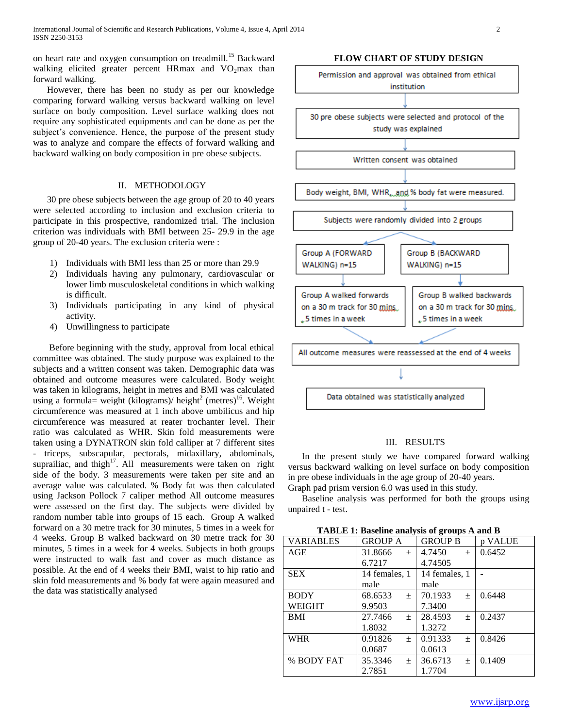on heart rate and oxygen consumption on treadmill.<sup>15</sup> Backward walking elicited greater percent HRmax and  $VO<sub>2</sub>$ max than forward walking.

 However, there has been no study as per our knowledge comparing forward walking versus backward walking on level surface on body composition. Level surface walking does not require any sophisticated equipments and can be done as per the subject's convenience. Hence, the purpose of the present study was to analyze and compare the effects of forward walking and backward walking on body composition in pre obese subjects.

# II. METHODOLOGY

 30 pre obese subjects between the age group of 20 to 40 years were selected according to inclusion and exclusion criteria to participate in this prospective, randomized trial. The inclusion criterion was individuals with BMI between 25- 29.9 in the age group of 20-40 years. The exclusion criteria were :

- 1) Individuals with BMI less than 25 or more than 29.9
- 2) Individuals having any pulmonary, cardiovascular or lower limb musculoskeletal conditions in which walking is difficult.
- 3) Individuals participating in any kind of physical activity.
- 4) Unwillingness to participate

 Before beginning with the study, approval from local ethical committee was obtained. The study purpose was explained to the subjects and a written consent was taken. Demographic data was obtained and outcome measures were calculated. Body weight was taken in kilograms, height in metres and BMI was calculated using a formula= weight (kilograms)/ height<sup>2</sup> (metres)<sup>16</sup>. Weight circumference was measured at 1 inch above umbilicus and hip circumference was measured at reater trochanter level. Their ratio was calculated as WHR. Skin fold measurements were taken using a DYNATRON skin fold calliper at 7 different sites - triceps, subscapular, pectorals, midaxillary, abdominals, suprailiac, and thigh $17$ . All measurements were taken on right side of the body. 3 measurements were taken per site and an average value was calculated. % Body fat was then calculated using Jackson Pollock 7 caliper method All outcome measures were assessed on the first day. The subjects were divided by random number table into groups of 15 each. Group A walked forward on a 30 metre track for 30 minutes, 5 times in a week for 4 weeks. Group B walked backward on 30 metre track for 30 minutes, 5 times in a week for 4 weeks. Subjects in both groups were instructed to walk fast and cover as much distance as possible. At the end of 4 weeks their BMI, waist to hip ratio and skin fold measurements and % body fat were again measured and the data was statistically analysed

**FLOW CHART OF STUDY DESIGN**



## III. RESULTS

 In the present study we have compared forward walking versus backward walking on level surface on body composition in pre obese individuals in the age group of 20-40 years. Graph pad prism version 6.0 was used in this study.

 Baseline analysis was performed for both the groups using unpaired t - test.

**TABLE 1: Baseline analysis of groups A and B**

| $\overline{\phantom{a}}$ |                  |                  |         |
|--------------------------|------------------|------------------|---------|
| <b>VARIABLES</b>         | <b>GROUP A</b>   | <b>GROUP B</b>   | p VALUE |
| AGE                      | 31.8666<br>$+$   | 4.7450<br>$\pm$  | 0.6452  |
|                          | 6.7217           | 4.74505          |         |
| <b>SEX</b>               | 14 females, 1    | 14 females, 1    |         |
|                          | male             | male             |         |
| <b>BODY</b>              | 68.6533<br>$\pm$ | 70.1933<br>$\pm$ | 0.6448  |
| <b>WEIGHT</b>            | 9.9503           | 7.3400           |         |
| <b>BMI</b>               | 27.7466<br>$+$   | 28.4593<br>$\pm$ | 0.2437  |
|                          | 1.8032           | 1.3272           |         |
| <b>WHR</b>               | 0.91826<br>$+$   | 0.91333<br>$\pm$ | 0.8426  |
|                          | 0.0687           | 0.0613           |         |
| % BODY FAT               | 35.3346<br>$+$   | 36.6713<br>$\pm$ | 0.1409  |
|                          | 2.7851           | 1.7704           |         |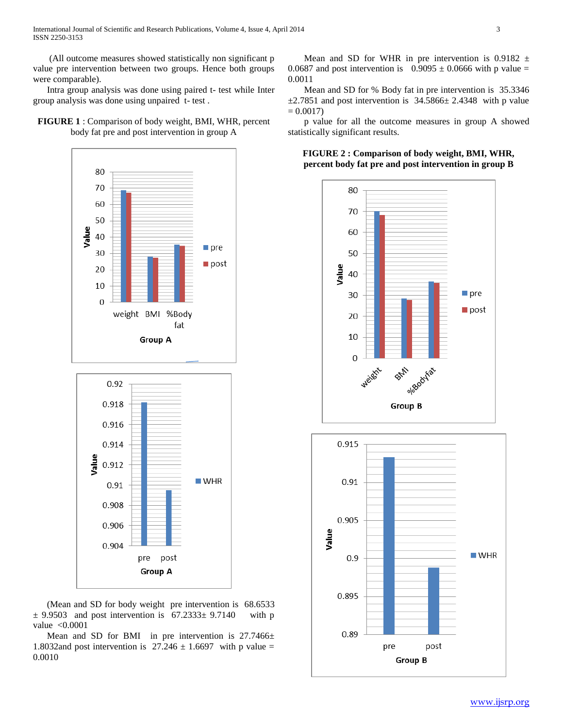International Journal of Scientific and Research Publications, Volume 4, Issue 4, April 2014 3 ISSN 2250-3153

 (All outcome measures showed statistically non significant p value pre intervention between two groups. Hence both groups were comparable).

 Intra group analysis was done using paired t- test while Inter group analysis was done using unpaired t- test .

# **FIGURE 1** : Comparison of body weight, BMI, WHR, percent body fat pre and post intervention in group A



 (Mean and SD for body weight pre intervention is 68.6533  $\pm$  9.9503 and post intervention is 67.2333 $\pm$  9.7140 with p value <0.0001

Mean and SD for BMI in pre intervention is 27.7466± 1.8032and post intervention is  $27.246 \pm 1.6697$  with p value = 0.0010

Mean and SD for WHR in pre intervention is 0.9182  $\pm$ 0.0687 and post intervention is  $0.9095 \pm 0.0666$  with p value = 0.0011

 Mean and SD for % Body fat in pre intervention is 35.3346  $\pm$ 2.7851 and post intervention is 34.5866 $\pm$  2.4348 with p value  $= 0.0017$ 

 p value for all the outcome measures in group A showed statistically significant results.

**FIGURE 2 : Comparison of body weight, BMI, WHR, percent body fat pre and post intervention in group B**

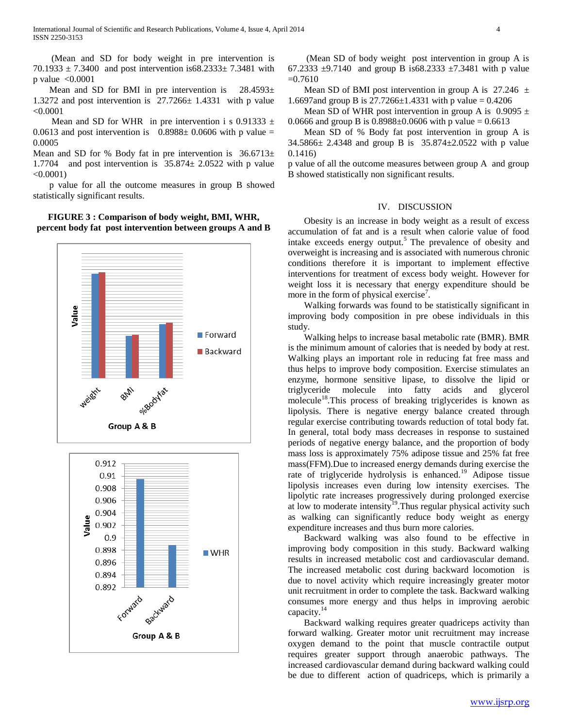(Mean and SD for body weight in pre intervention is 70.1933  $\pm$  7.3400 and post intervention is68.2333 $\pm$  7.3481 with p value <0.0001

Mean and SD for BMI in pre intervention is  $28.4593\pm$ 1.3272 and post intervention is 27.7266± 1.4331 with p value <0.0001

Mean and SD for WHR in pre intervention i s 0.91333  $\pm$ 0.0613 and post intervention is  $0.8988 \pm 0.0606$  with p value = 0.0005

Mean and SD for % Body fat in pre intervention is  $36.6713±$ 1.7704 and post intervention is  $35.874 \pm 2.0522$  with p value  $< 0.0001$ )

 p value for all the outcome measures in group B showed statistically significant results.

**FIGURE 3 : Comparison of body weight, BMI, WHR, percent body fat post intervention between groups A and B**



 (Mean SD of body weight post intervention in group A is 67.2333  $\pm$ 9.7140 and group B is68.2333  $\pm$ 7.3481 with p value  $=0.7610$ 

Mean SD of BMI post intervention in group A is  $27.246 \pm$ 1.6697and group B is  $27.7266 \pm 1.4331$  with p value = 0.4206

Mean SD of WHR post intervention in group A is  $0.9095 \pm$ 0.0666 and group B is  $0.8988\pm0.0606$  with p value = 0.6613

 Mean SD of % Body fat post intervention in group A is 34.5866± 2.4348 and group B is 35.874±2.0522 with p value 0.1416)

p value of all the outcome measures between group A and group B showed statistically non significant results.

#### IV. DISCUSSION

 Obesity is an increase in body weight as a result of excess accumulation of fat and is a result when calorie value of food intake exceeds energy output.<sup>5</sup> The prevalence of obesity and overweight is increasing and is associated with numerous chronic conditions therefore it is important to implement effective interventions for treatment of excess body weight. However for weight loss it is necessary that energy expenditure should be more in the form of physical exercise<sup>7</sup>.

 Walking forwards was found to be statistically significant in improving body composition in pre obese individuals in this study.

 Walking helps to increase basal metabolic rate (BMR). BMR is the minimum amount of calories that is needed by body at rest. Walking plays an important role in reducing fat free mass and thus helps to improve body composition. Exercise stimulates an enzyme, hormone sensitive lipase, to dissolve the lipid or triglyceride molecule into fatty acids and glycerol molecule<sup>18</sup>.This process of breaking triglycerides is known as lipolysis. There is negative energy balance created through regular exercise contributing towards reduction of total body fat. In general, total body mass decreases in response to sustained periods of negative energy balance, and the proportion of body mass loss is approximately 75% adipose tissue and 25% fat free mass(FFM).Due to increased energy demands during exercise the rate of triglyceride hydrolysis is enhanced.<sup>19</sup> Adipose tissue lipolysis increases even during low intensity exercises. The lipolytic rate increases progressively during prolonged exercise at low to moderate intensity<sup>19</sup>. Thus regular physical activity such as walking can significantly reduce body weight as energy expenditure increases and thus burn more calories.

 Backward walking was also found to be effective in improving body composition in this study. Backward walking results in increased metabolic cost and cardiovascular demand. The increased metabolic cost during backward locomotion is due to novel activity which require increasingly greater motor unit recruitment in order to complete the task. Backward walking consumes more energy and thus helps in improving aerobic capacity.<sup>14</sup>

 Backward walking requires greater quadriceps activity than forward walking. Greater motor unit recruitment may increase oxygen demand to the point that muscle contractile output requires greater support through anaerobic pathways. The increased cardiovascular demand during backward walking could be due to different action of quadriceps, which is primarily a